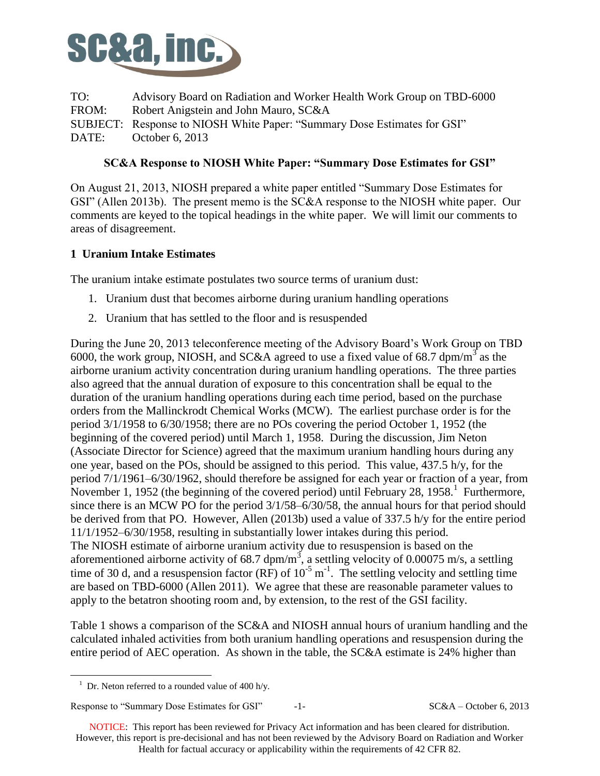

TO: Advisory Board on Radiation and Worker Health Work Group on TBD-6000 FROM: Robert Anigstein and John Mauro, SC&A SUBJECT: Response to NIOSH White Paper: "Summary Dose Estimates for GSI" ' DATE: October 6, 2013

## **SC&A Response to NIOSH White Paper: "Summary Dose Estimates for GSI"**

On August 21, 2013, NIOSH prepared a white paper entitled "Summary Dose Estimates for GSI" (Allen 2013b). The present memo is the SC&A response to the NIOSH white paper. Our comments are keyed to the topical headings in the white paper. We will limit our comments to areas of disagreement.

### **1 Uranium Intake Estimates**

The uranium intake estimate postulates two source terms of uranium dust:

- 1. Uranium dust that becomes airborne during uranium handling operations
- 2. Uranium that has settled to the floor and is resuspended

During the June 20, 2013 teleconference meeting of the Advisory Board's Work Group on TBD 6000, the work group, NIOSH, and SC&A agreed to use a fixed value of 68.7 dpm/m<sup>3</sup> as the airborne uranium activity concentration during uranium handling operations. The three parties also agreed that the annual duration of exposure to this concentration shall be equal to the duration of the uranium handling operations during each time period, based on the purchase orders from the Mallinckrodt Chemical Works (MCW). The earliest purchase order is for the period 3/1/1958 to 6/30/1958; there are no POs covering the period October 1, 1952 (the beginning of the covered period) until March 1, 1958. During the discussion, Jim Neton (Associate Director for Science) agreed that the maximum uranium handling hours during any one year, based on the POs, should be assigned to this period. This value, 437.5 h/y, for the period 7/1/1961–6/30/1962, should therefore be assigned for each year or fraction of a year, from November 1, 1952 (the beginning of the covered period) until February 28, 1958.<sup>1</sup> Furthermore, since there is an MCW PO for the period 3/1/58–6/30/58, the annual hours for that period should be derived from that PO. However, Allen (2013b) used a value of 337.5 h/y for the entire period 11/1/1952–6/30/1958, resulting in substantially lower intakes during this period. The NIOSH estimate of airborne uranium activity due to resuspension is based on the aforementioned airborne activity of 68.7 dpm/m<sup>3</sup>, a settling velocity of 0.00075 m/s, a settling time of 30 d, and a resuspension factor (RF) of  $10^{-5}$  m<sup>-1</sup>. The settling velocity and settling time are based on TBD-6000 (Allen 2011). We agree that these are reasonable parameter values to apply to the betatron shooting room and, by extension, to the rest of the GSI facility.

Table 1 shows a comparison of the SC&A and NIOSH annual hours of uranium handling and the calculated inhaled activities from both uranium handling operations and resuspension during the entire period of AEC operation. As shown in the table, the SC&A estimate is 24% higher than

 $\overline{a}$ 

<sup>&</sup>lt;sup>1</sup> Dr. Neton referred to a rounded value of 400 h/y.

Response to "Summary Dose Estimates for GSI"  $-1$ - SC&A – October 6, 2013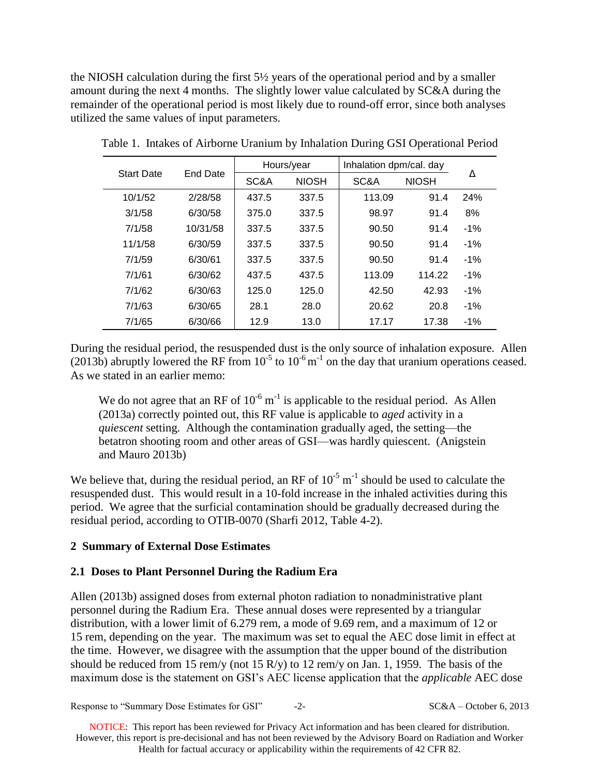the NIOSH calculation during the first 5½ years of the operational period and by a smaller amount during the next 4 months. The slightly lower value calculated by SC&A during the remainder of the operational period is most likely due to round-off error, since both analyses utilized the same values of input parameters.

|                   | End Date |       | Hours/year   | Inhalation dpm/cal. day |              |        |
|-------------------|----------|-------|--------------|-------------------------|--------------|--------|
| <b>Start Date</b> |          | SC&A  | <b>NIOSH</b> | SC&A                    | <b>NIOSH</b> | Δ      |
| 10/1/52           | 2/28/58  | 437.5 | 337.5        | 113.09                  | 91.4         | 24%    |
| 3/1/58            | 6/30/58  | 375.0 | 337.5        | 98.97                   | 91.4         | 8%     |
| 7/1/58            | 10/31/58 | 337.5 | 337.5        | 90.50                   | 91.4         | $-1\%$ |
| 11/1/58           | 6/30/59  | 337.5 | 337.5        | 90.50                   | 91.4         | $-1\%$ |
| 7/1/59            | 6/30/61  | 337.5 | 337.5        | 90.50                   | 91.4         | $-1%$  |
| 7/1/61            | 6/30/62  | 437.5 | 437.5        | 113.09                  | 114.22       | $-1%$  |
| 7/1/62            | 6/30/63  | 125.0 | 125.0        | 42.50                   | 42.93        | $-1\%$ |
| 7/1/63            | 6/30/65  | 28.1  | 28.0         | 20.62                   | 20.8         | $-1%$  |
| 7/1/65            | 6/30/66  | 12.9  | 13.0         | 17.17                   | 17.38        | $-1%$  |

Table 1. Intakes of Airborne Uranium by Inhalation During GSI Operational Period

During the residual period, the resuspended dust is the only source of inhalation exposure. Allen  $(2013\bar{b})$  abruptly lowered the RF from  $10^{-5}$  to  $10^{-6}$  m<sup>-1</sup> on the day that uranium operations ceased. As we stated in an earlier memo:

We do not agree that an RF of  $10^{-6}$  m<sup>-1</sup> is applicable to the residual period. As Allen (2013a) correctly pointed out, this RF value is applicable to *aged* activity in a *quiescent* setting. Although the contamination gradually aged, the setting—the betatron shooting room and other areas of GSI—was hardly quiescent. (Anigstein and Mauro 2013b)

We believe that, during the residual period, an RF of  $10^{-5}$  m<sup>-1</sup> should be used to calculate the resuspended dust. This would result in a 10-fold increase in the inhaled activities during this period. We agree that the surficial contamination should be gradually decreased during the residual period, according to OTIB-0070 (Sharfi 2012, Table 4-2).

#### **2 Summary of External Dose Estimates**

#### **2.1 Doses to Plant Personnel During the Radium Era**

Allen (2013b) assigned doses from external photon radiation to nonadministrative plant personnel during the Radium Era. These annual doses were represented by a triangular distribution, with a lower limit of 6.279 rem, a mode of 9.69 rem, and a maximum of 12 or 15 rem, depending on the year. The maximum was set to equal the AEC dose limit in effect at the time. However, we disagree with the assumption that the upper bound of the distribution should be reduced from 15 rem/y (not 15 R/y) to 12 rem/y on Jan. 1, 1959. The basis of the maximum dose is the statement on GSI's AEC license application that the *applicable* AEC dose

Response to "Summary Dose Estimates for GSI"  $-2$ - SC&A – October 6, 2013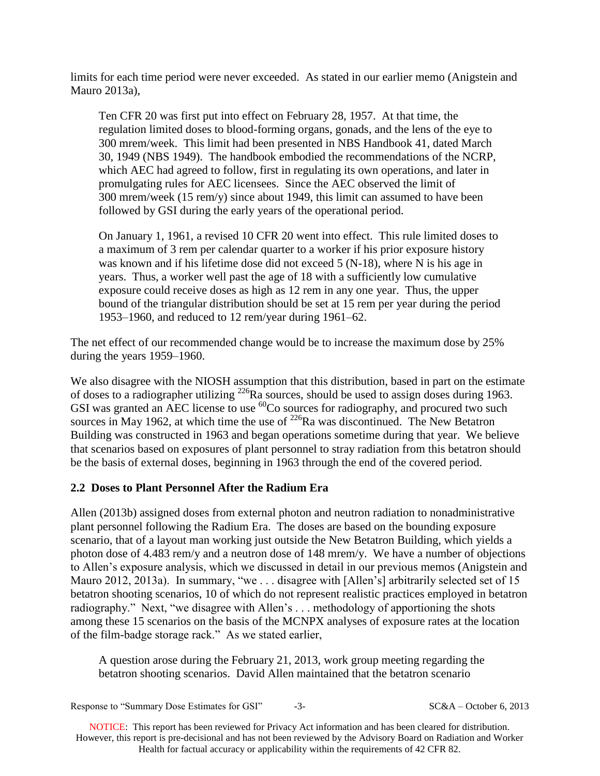limits for each time period were never exceeded. As stated in our earlier memo (Anigstein and Mauro 2013a),

Ten CFR 20 was first put into effect on February 28, 1957. At that time, the regulation limited doses to blood-forming organs, gonads, and the lens of the eye to 300 mrem/week. This limit had been presented in NBS Handbook 41, dated March 30, 1949 (NBS 1949). The handbook embodied the recommendations of the NCRP, which AEC had agreed to follow, first in regulating its own operations, and later in promulgating rules for AEC licensees. Since the AEC observed the limit of 300 mrem/week (15 rem/y) since about 1949, this limit can assumed to have been followed by GSI during the early years of the operational period.

On January 1, 1961, a revised 10 CFR 20 went into effect. This rule limited doses to a maximum of 3 rem per calendar quarter to a worker if his prior exposure history was known and if his lifetime dose did not exceed 5 (N-18), where N is his age in years. Thus, a worker well past the age of 18 with a sufficiently low cumulative exposure could receive doses as high as 12 rem in any one year. Thus, the upper bound of the triangular distribution should be set at 15 rem per year during the period 1953–1960, and reduced to 12 rem/year during 1961–62.

The net effect of our recommended change would be to increase the maximum dose by 25% during the years 1959–1960.

We also disagree with the NIOSH assumption that this distribution, based in part on the estimate of doses to a radiographer utilizing <sup>226</sup>Ra sources, should be used to assign doses during 1963. GSI was granted an AEC license to use  ${}^{60}$ Co sources for radiography, and procured two such sources in May 1962, at which time the use of  $^{226}$ Ra was discontinued. The New Betatron Building was constructed in 1963 and began operations sometime during that year. We believe that scenarios based on exposures of plant personnel to stray radiation from this betatron should be the basis of external doses, beginning in 1963 through the end of the covered period.

# **2.2 Doses to Plant Personnel After the Radium Era**

Allen (2013b) assigned doses from external photon and neutron radiation to nonadministrative plant personnel following the Radium Era. The doses are based on the bounding exposure scenario, that of a layout man working just outside the New Betatron Building, which yields a photon dose of 4.483 rem/y and a neutron dose of 148 mrem/y. We have a number of objections to Allen's exposure analysis, which we discussed in detail in our previous memos (Anigstein and Mauro 2012, 2013a). In summary, "we ... disagree with [Allen's] arbitrarily selected set of 15 betatron shooting scenarios, 10 of which do not represent realistic practices employed in betatron radiography." Next, "we disagree with Allen's . . . methodology of apportioning the shots among these 15 scenarios on the basis of the MCNPX analyses of exposure rates at the location of the film-badge storage rack." As we stated earlier,

A question arose during the February 21, 2013, work group meeting regarding the betatron shooting scenarios. David Allen maintained that the betatron scenario

Response to "Summary Dose Estimates for GSI" -3- SC&A – October 6, 2013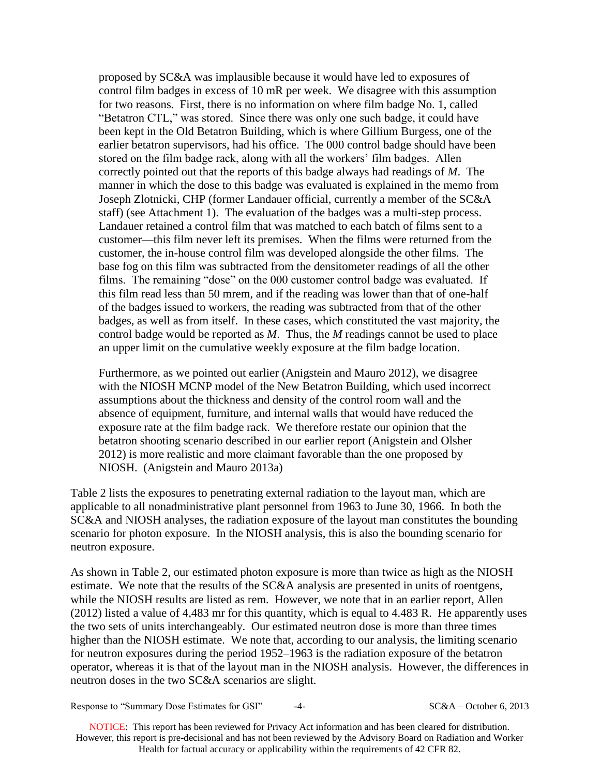proposed by SC&A was implausible because it would have led to exposures of control film badges in excess of 10 mR per week. We disagree with this assumption for two reasons. First, there is no information on where film badge No. 1, called "Betatron CTL," was stored. Since there was only one such badge, it could have been kept in the Old Betatron Building, which is where Gillium Burgess, one of the earlier betatron supervisors, had his office. The 000 control badge should have been stored on the film badge rack, along with all the workers' film badges. Allen correctly pointed out that the reports of this badge always had readings of *M*. The manner in which the dose to this badge was evaluated is explained in the memo from Joseph Zlotnicki, CHP (former Landauer official, currently a member of the SC&A staff) (see Attachment 1). The evaluation of the badges was a multi-step process. Landauer retained a control film that was matched to each batch of films sent to a customer—this film never left its premises. When the films were returned from the customer, the in-house control film was developed alongside the other films. The base fog on this film was subtracted from the densitometer readings of all the other films. The remaining "dose" on the 000 customer control badge was evaluated. If this film read less than 50 mrem, and if the reading was lower than that of one-half of the badges issued to workers, the reading was subtracted from that of the other badges, as well as from itself. In these cases, which constituted the vast majority, the control badge would be reported as *M*. Thus, the *M* readings cannot be used to place an upper limit on the cumulative weekly exposure at the film badge location.

Furthermore, as we pointed out earlier (Anigstein and Mauro 2012), we disagree with the NIOSH MCNP model of the New Betatron Building, which used incorrect assumptions about the thickness and density of the control room wall and the absence of equipment, furniture, and internal walls that would have reduced the exposure rate at the film badge rack. We therefore restate our opinion that the betatron shooting scenario described in our earlier report (Anigstein and Olsher 2012) is more realistic and more claimant favorable than the one proposed by NIOSH. (Anigstein and Mauro 2013a)

Table 2 lists the exposures to penetrating external radiation to the layout man, which are applicable to all nonadministrative plant personnel from 1963 to June 30, 1966. In both the SC&A and NIOSH analyses, the radiation exposure of the layout man constitutes the bounding scenario for photon exposure. In the NIOSH analysis, this is also the bounding scenario for neutron exposure.

As shown in Table 2, our estimated photon exposure is more than twice as high as the NIOSH estimate. We note that the results of the SC&A analysis are presented in units of roentgens, while the NIOSH results are listed as rem. However, we note that in an earlier report, Allen (2012) listed a value of 4,483 mr for this quantity, which is equal to 4.483 R. He apparently uses the two sets of units interchangeably. Our estimated neutron dose is more than three times higher than the NIOSH estimate. We note that, according to our analysis, the limiting scenario for neutron exposures during the period 1952–1963 is the radiation exposure of the betatron operator, whereas it is that of the layout man in the NIOSH analysis. However, the differences in neutron doses in the two SC&A scenarios are slight.

Response to "Summary Dose Estimates for GSI"  $-4-$  SC&A – October 6, 2013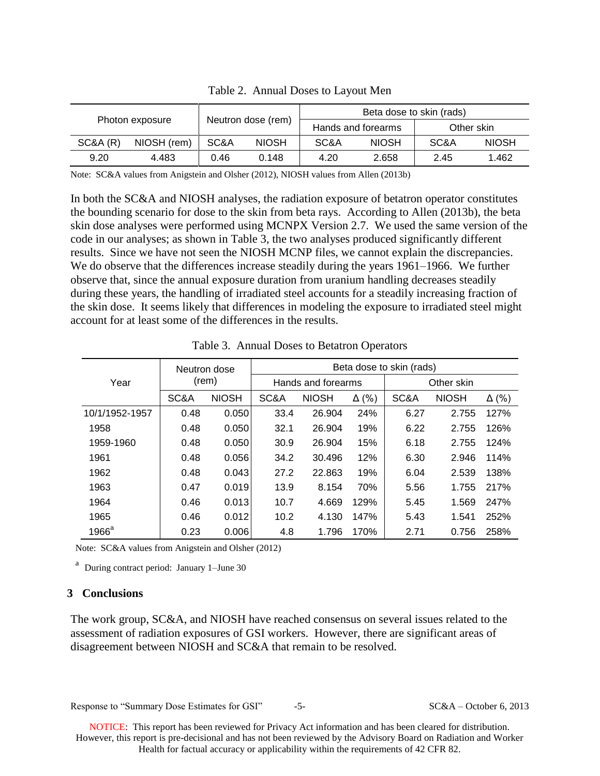| Photon exposure |             | Neutron dose (rem) |              | Beta dose to skin (rads) |              |            |              |  |
|-----------------|-------------|--------------------|--------------|--------------------------|--------------|------------|--------------|--|
|                 |             |                    |              | Hands and forearms       |              | Other skin |              |  |
| SC&A(R)         | NIOSH (rem) | SC&A               | <b>NIOSH</b> | SC&A                     | <b>NIOSH</b> | SC&A       | <b>NIOSH</b> |  |
| 9.20            | 4.483       | 0.46               | 0.148        | 4.20                     | 2.658        | 2.45       | 1.462        |  |

Table 2. Annual Doses to Layout Men

Note: SC&A values from Anigstein and Olsher (2012), NIOSH values from Allen (2013b)

In both the SC&A and NIOSH analyses, the radiation exposure of betatron operator constitutes the bounding scenario for dose to the skin from beta rays. According to Allen (2013b), the beta skin dose analyses were performed using MCNPX Version 2.7. We used the same version of the code in our analyses; as shown in Table 3, the two analyses produced significantly different results. Since we have not seen the NIOSH MCNP files, we cannot explain the discrepancies. We do observe that the differences increase steadily during the years 1961–1966. We further observe that, since the annual exposure duration from uranium handling decreases steadily during these years, the handling of irradiated steel accounts for a steadily increasing fraction of the skin dose. It seems likely that differences in modeling the exposure to irradiated steel might account for at least some of the differences in the results.

|                | Neutron dose<br>(rem) |              | Beta dose to skin (rads) |              |              |            |              |              |  |
|----------------|-----------------------|--------------|--------------------------|--------------|--------------|------------|--------------|--------------|--|
| Year           |                       |              | Hands and forearms       |              |              | Other skin |              |              |  |
|                | SC&A                  | <b>NIOSH</b> | SC&A                     | <b>NIOSH</b> | $\Delta$ (%) | SC&A       | <b>NIOSH</b> | $\Delta$ (%) |  |
| 10/1/1952-1957 | 0.48                  | 0.050        | 33.4                     | 26.904       | 24%          | 6.27       | 2.755        | 127%         |  |
| 1958           | 0.48                  | 0.050        | 32.1                     | 26.904       | 19%          | 6.22       | 2.755        | 126%         |  |
| 1959-1960      | 0.48                  | 0.050        | 30.9                     | 26.904       | 15%          | 6.18       | 2.755        | 124%         |  |
| 1961           | 0.48                  | 0.056        | 34.2                     | 30.496       | 12%          | 6.30       | 2.946        | 114%         |  |
| 1962           | 0.48                  | 0.043        | 27.2                     | 22.863       | 19%          | 6.04       | 2.539        | 138%         |  |
| 1963           | 0.47                  | 0.019        | 13.9                     | 8.154        | 70%          | 5.56       | 1.755        | 217%         |  |
| 1964           | 0.46                  | 0.013        | 10.7                     | 4.669        | 129%         | 5.45       | 1.569        | 247%         |  |
| 1965           | 0.46                  | 0.012        | 10.2                     | 4.130        | 147%         | 5.43       | 1.541        | 252%         |  |
| $1966^a$       | 0.23                  | 0.006        | 4.8                      | 1.796        | 170%         | 2.71       | 0.756        | 258%         |  |

Table 3. Annual Doses to Betatron Operators

Note: SC&A values from Anigstein and Olsher (2012)

<sup>a</sup> During contract period: January 1–June 30

### **3 Conclusions**

The work group, SC&A, and NIOSH have reached consensus on several issues related to the assessment of radiation exposures of GSI workers. However, there are significant areas of disagreement between NIOSH and SC&A that remain to be resolved.

Response to "Summary Dose Estimates for GSI"  $-5$ - SC&A – October 6, 2013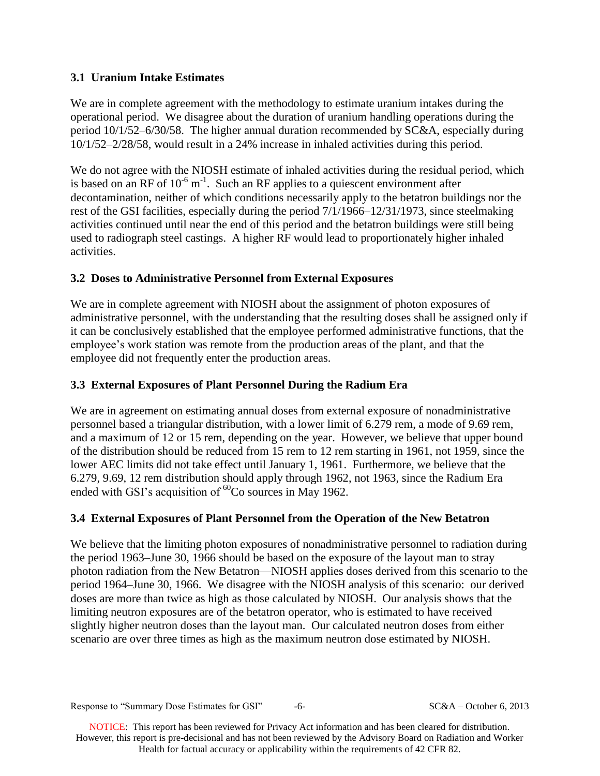# **3.1 Uranium Intake Estimates**

We are in complete agreement with the methodology to estimate uranium intakes during the operational period. We disagree about the duration of uranium handling operations during the period 10/1/52–6/30/58. The higher annual duration recommended by SC&A, especially during 10/1/52–2/28/58, would result in a 24% increase in inhaled activities during this period.

We do not agree with the NIOSH estimate of inhaled activities during the residual period, which is based on an RF of  $10^{-6}$  m<sup>-1</sup>. Such an RF applies to a quiescent environment after decontamination, neither of which conditions necessarily apply to the betatron buildings nor the rest of the GSI facilities, especially during the period 7/1/1966–12/31/1973, since steelmaking activities continued until near the end of this period and the betatron buildings were still being used to radiograph steel castings. A higher RF would lead to proportionately higher inhaled activities.

# **3.2 Doses to Administrative Personnel from External Exposures**

We are in complete agreement with NIOSH about the assignment of photon exposures of administrative personnel, with the understanding that the resulting doses shall be assigned only if it can be conclusively established that the employee performed administrative functions, that the employee's work station was remote from the production areas of the plant, and that the employee did not frequently enter the production areas.

# **3.3 External Exposures of Plant Personnel During the Radium Era**

We are in agreement on estimating annual doses from external exposure of nonadministrative personnel based a triangular distribution, with a lower limit of 6.279 rem, a mode of 9.69 rem, and a maximum of 12 or 15 rem, depending on the year. However, we believe that upper bound of the distribution should be reduced from 15 rem to 12 rem starting in 1961, not 1959, since the lower AEC limits did not take effect until January 1, 1961. Furthermore, we believe that the 6.279, 9.69, 12 rem distribution should apply through 1962, not 1963, since the Radium Era ended with GSI's acquisition of  ${}^{60}$ Co sources in May 1962.

# **3.4 External Exposures of Plant Personnel from the Operation of the New Betatron**

We believe that the limiting photon exposures of nonadministrative personnel to radiation during the period 1963–June 30, 1966 should be based on the exposure of the layout man to stray photon radiation from the New Betatron—NIOSH applies doses derived from this scenario to the period 1964–June 30, 1966. We disagree with the NIOSH analysis of this scenario: our derived doses are more than twice as high as those calculated by NIOSH. Our analysis shows that the limiting neutron exposures are of the betatron operator, who is estimated to have received slightly higher neutron doses than the layout man. Our calculated neutron doses from either scenario are over three times as high as the maximum neutron dose estimated by NIOSH.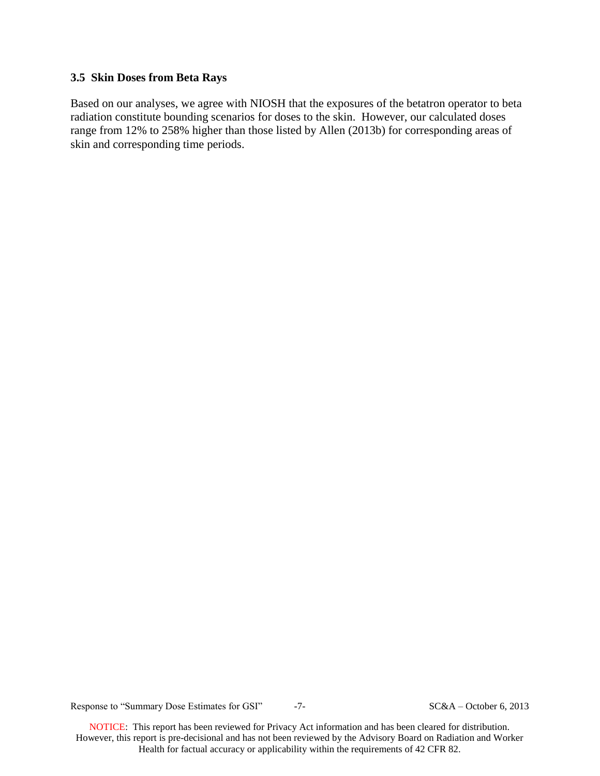#### **3.5 Skin Doses from Beta Rays**

Based on our analyses, we agree with NIOSH that the exposures of the betatron operator to beta radiation constitute bounding scenarios for doses to the skin. However, our calculated doses range from 12% to 258% higher than those listed by Allen (2013b) for corresponding areas of skin and corresponding time periods.

Response to "Summary Dose Estimates for GSI"  $-7$ - SC&A – October 6, 2013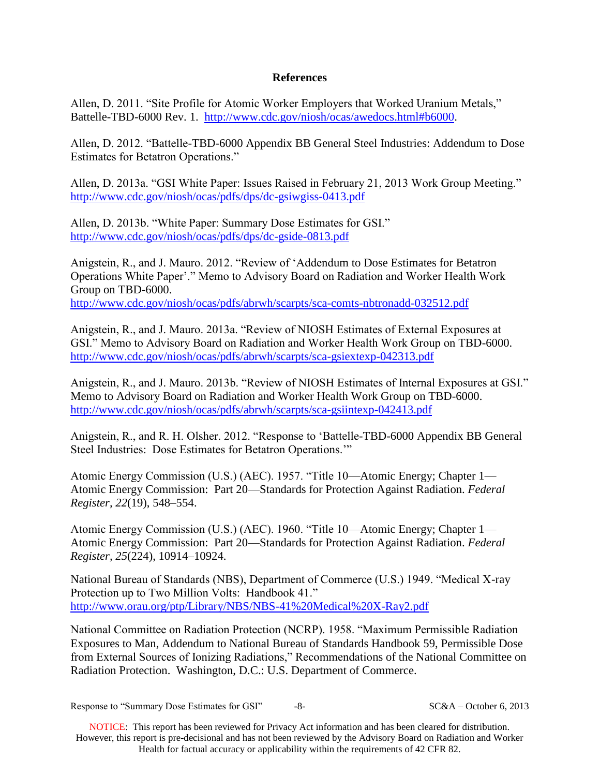### **References**

Allen, D. 2011. "Site Profile for Atomic Worker Employers that Worked Uranium Metals," Battelle-TBD-6000 Rev. 1. [http://www.cdc.gov/niosh/ocas/awedocs.html#b6000.](http://www.cdc.gov/niosh/ocas/awedocs.html#b6000)

Allen, D. 2012. "Battelle-TBD-6000 Appendix BB General Steel Industries: Addendum to Dose Estimates for Betatron Operations."

Allen, D. 2013a. "GSI White Paper: Issues Raised in February 21, 2013 Work Group Meeting." <http://www.cdc.gov/niosh/ocas/pdfs/dps/dc-gsiwgiss-0413.pdf>

Allen, D. 2013b. "White Paper: Summary Dose Estimates for GSI." <http://www.cdc.gov/niosh/ocas/pdfs/dps/dc-gside-0813.pdf>

Anigstein, R., and J. Mauro. 2012. "Review of 'Addendum to Dose Estimates for Betatron Operations White Paper'." Memo to Advisory Board on Radiation and Worker Health Work Group on TBD-6000. <http://www.cdc.gov/niosh/ocas/pdfs/abrwh/scarpts/sca-comts-nbtronadd-032512.pdf>

Anigstein, R., and J. Mauro. 2013a. "Review of NIOSH Estimates of External Exposures at GSI." Memo to Advisory Board on Radiation and Worker Health Work Group on TBD-6000. <http://www.cdc.gov/niosh/ocas/pdfs/abrwh/scarpts/sca-gsiextexp-042313.pdf>

Anigstein, R., and J. Mauro. 2013b. "Review of NIOSH Estimates of Internal Exposures at GSI." Memo to Advisory Board on Radiation and Worker Health Work Group on TBD-6000. <http://www.cdc.gov/niosh/ocas/pdfs/abrwh/scarpts/sca-gsiintexp-042413.pdf>

Anigstein, R., and R. H. Olsher. 2012. "Response to 'Battelle-TBD-6000 Appendix BB General Steel Industries: Dose Estimates for Betatron Operations.'"

Atomic Energy Commission (U.S.) (AEC). 1957. "Title 10—Atomic Energy; Chapter 1— Atomic Energy Commission: Part 20—Standards for Protection Against Radiation. *Federal Register, 22*(19), 548–554.

Atomic Energy Commission (U.S.) (AEC). 1960. "Title 10—Atomic Energy; Chapter 1— Atomic Energy Commission: Part 20—Standards for Protection Against Radiation. *Federal Register, 25*(224), 10914–10924.

National Bureau of Standards (NBS), Department of Commerce (U.S.) 1949. "Medical X-ray Protection up to Two Million Volts: Handbook 41." <http://www.orau.org/ptp/Library/NBS/NBS-41%20Medical%20X-Ray2.pdf>

National Committee on Radiation Protection (NCRP). 1958. "Maximum Permissible Radiation Exposures to Man, Addendum to National Bureau of Standards Handbook 59, Permissible Dose from External Sources of Ionizing Radiations," Recommendations of the National Committee on Radiation Protection. Washington, D.C.: U.S. Department of Commerce.

Response to "Summary Dose Estimates for GSI"  $-8$ - SC&A – October 6, 2013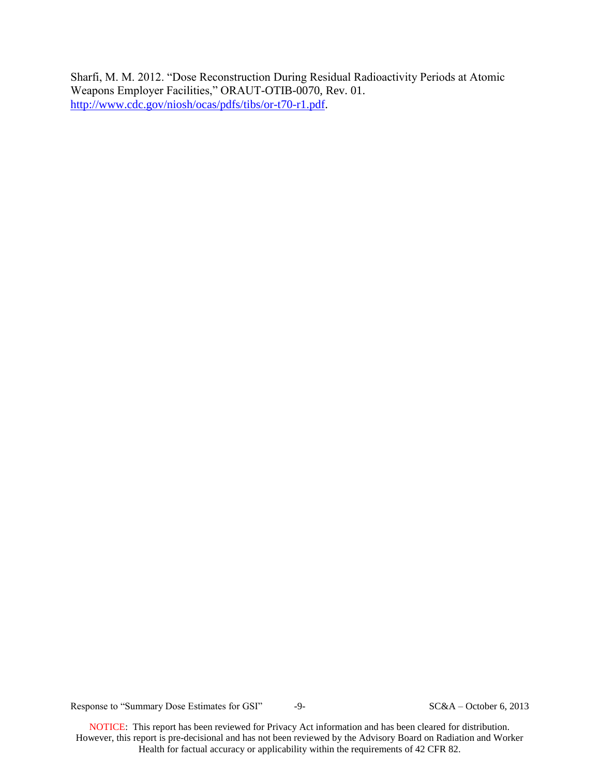Sharfi, M. M. 2012. "Dose Reconstruction During Residual Radioactivity Periods at Atomic Weapons Employer Facilities," ORAUT-OTIB-0070, Rev. 01. [http://www.cdc.gov/niosh/ocas/pdfs/tibs/or-t70-r1.pdf.](http://www.cdc.gov/niosh/ocas/pdfs/tibs/or-t70-r1.pdf)

Response to "Summary Dose Estimates for GSI"  $-9-$  SC&A – October 6, 2013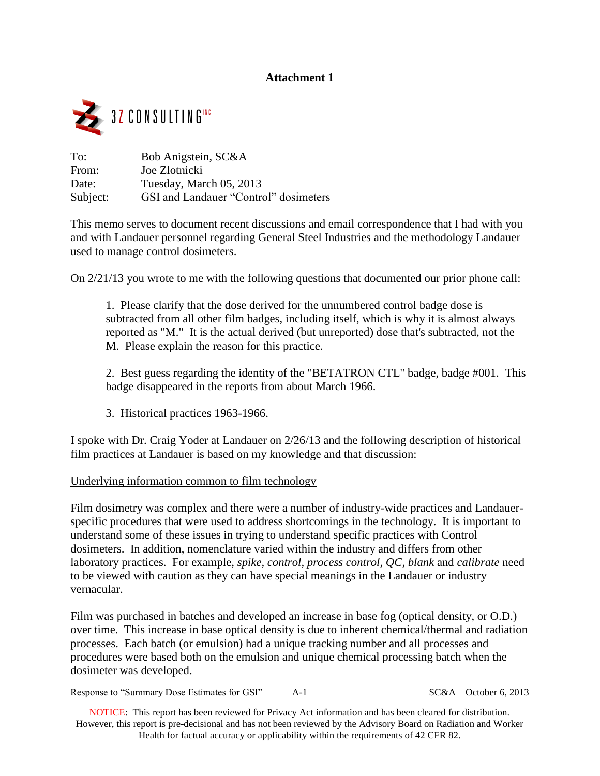# **Attachment 1**



| To:      | Bob Anigstein, SC&A                   |
|----------|---------------------------------------|
| From:    | Joe Zlotnicki                         |
| Date:    | Tuesday, March 05, 2013               |
| Subject: | GSI and Landauer "Control" dosimeters |

This memo serves to document recent discussions and email correspondence that I had with you and with Landauer personnel regarding General Steel Industries and the methodology Landauer used to manage control dosimeters.

On 2/21/13 you wrote to me with the following questions that documented our prior phone call:

1. Please clarify that the dose derived for the unnumbered control badge dose is subtracted from all other film badges, including itself, which is why it is almost always reported as "M." It is the actual derived (but unreported) dose that's subtracted, not the M. Please explain the reason for this practice.

2. Best guess regarding the identity of the "BETATRON CTL" badge, badge #001. This badge disappeared in the reports from about March 1966.

3. Historical practices 1963-1966.

I spoke with Dr. Craig Yoder at Landauer on 2/26/13 and the following description of historical film practices at Landauer is based on my knowledge and that discussion:

### Underlying information common to film technology

Film dosimetry was complex and there were a number of industry-wide practices and Landauerspecific procedures that were used to address shortcomings in the technology. It is important to understand some of these issues in trying to understand specific practices with Control dosimeters. In addition, nomenclature varied within the industry and differs from other laboratory practices. For example, *spike, control, process control, QC, blank* and *calibrate* need to be viewed with caution as they can have special meanings in the Landauer or industry vernacular.

Film was purchased in batches and developed an increase in base fog (optical density, or O.D.) over time. This increase in base optical density is due to inherent chemical/thermal and radiation processes. Each batch (or emulsion) had a unique tracking number and all processes and procedures were based both on the emulsion and unique chemical processing batch when the dosimeter was developed.

Response to "Summary Dose Estimates for GSI"  $A-1$  SC&A – October 6, 2013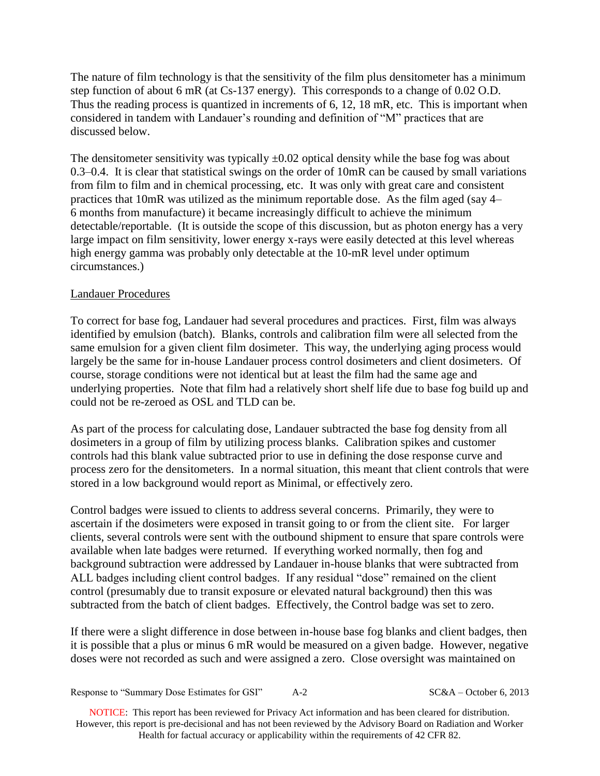The nature of film technology is that the sensitivity of the film plus densitometer has a minimum step function of about 6 mR (at Cs-137 energy). This corresponds to a change of 0.02 O.D. Thus the reading process is quantized in increments of 6, 12, 18 mR, etc. This is important when considered in tandem with Landauer's rounding and definition of "M" practices that are discussed below.

The densitometer sensitivity was typically  $\pm 0.02$  optical density while the base fog was about 0.3–0.4. It is clear that statistical swings on the order of 10mR can be caused by small variations from film to film and in chemical processing, etc. It was only with great care and consistent practices that 10mR was utilized as the minimum reportable dose. As the film aged (say 4– 6 months from manufacture) it became increasingly difficult to achieve the minimum detectable/reportable. (It is outside the scope of this discussion, but as photon energy has a very large impact on film sensitivity, lower energy x-rays were easily detected at this level whereas high energy gamma was probably only detectable at the 10-mR level under optimum circumstances.)

## Landauer Procedures

To correct for base fog, Landauer had several procedures and practices. First, film was always identified by emulsion (batch). Blanks, controls and calibration film were all selected from the same emulsion for a given client film dosimeter. This way, the underlying aging process would largely be the same for in-house Landauer process control dosimeters and client dosimeters. Of course, storage conditions were not identical but at least the film had the same age and underlying properties. Note that film had a relatively short shelf life due to base fog build up and could not be re-zeroed as OSL and TLD can be.

As part of the process for calculating dose, Landauer subtracted the base fog density from all dosimeters in a group of film by utilizing process blanks. Calibration spikes and customer controls had this blank value subtracted prior to use in defining the dose response curve and process zero for the densitometers. In a normal situation, this meant that client controls that were stored in a low background would report as Minimal, or effectively zero.

Control badges were issued to clients to address several concerns. Primarily, they were to ascertain if the dosimeters were exposed in transit going to or from the client site. For larger clients, several controls were sent with the outbound shipment to ensure that spare controls were available when late badges were returned. If everything worked normally, then fog and background subtraction were addressed by Landauer in-house blanks that were subtracted from ALL badges including client control badges. If any residual "dose" remained on the client control (presumably due to transit exposure or elevated natural background) then this was subtracted from the batch of client badges. Effectively, the Control badge was set to zero.

If there were a slight difference in dose between in-house base fog blanks and client badges, then it is possible that a plus or minus 6 mR would be measured on a given badge. However, negative doses were not recorded as such and were assigned a zero. Close oversight was maintained on

Response to "Summary Dose Estimates for GSI"  $A-2$  SC&A – October 6, 2013